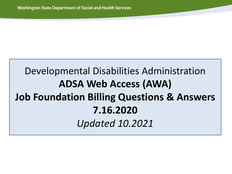# Developmental Disabilities Administration **ADSA Web Access (AWA) Job Foundation Billing Questions & Answers 7.16.2020** *Updated 10.2021*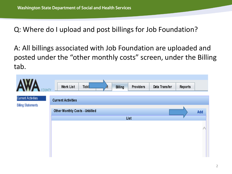Q: Where do I upload and post billings for Job Foundation?

A: All billings associated with Job Foundation are uploaded and posted under the "other monthly costs" screen, under the Billing tab.

| <b>NTY</b>                                             | <b>Work List</b>                      | <b>Tick</b> | Billing | Providers | Data Transfer | Reports |     |
|--------------------------------------------------------|---------------------------------------|-------------|---------|-----------|---------------|---------|-----|
| <b>Current Activities</b><br><b>Billing Statements</b> | <b>Current Activities</b>             |             |         |           |               |         |     |
|                                                        | <b>Other Monthly Costs - Unbilled</b> |             |         | List      |               |         | Add |
|                                                        |                                       |             |         |           |               |         |     |
|                                                        |                                       |             |         |           |               |         |     |
|                                                        |                                       |             |         |           |               |         |     |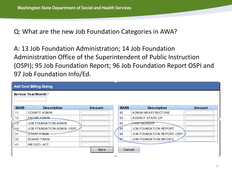Q: What are the new Job Foundation Categories in AWA?

A: 13 Job Foundation Administration; 14 Job Foundation Administration Office of the Superintendent of Public Instruction (OSPI); 95 Job Foundation Report; 96 Job Foundation Report OSPI and 97 Job Foundation Info/Ed.

|             | <b>Add Cost Billing Dialog</b> |        |                    |             |                            |        |  |
|-------------|--------------------------------|--------|--------------------|-------------|----------------------------|--------|--|
|             | Service Year/Month:*           |        |                    |             |                            |        |  |
| <b>BARS</b> | <b>Description</b>             | Amount |                    | <b>BARS</b> | <b>Description</b>         | Amount |  |
| 11          | COUNTY ADMIN.                  |        |                    | 92          | ADMIN INFAST RUCTURE       |        |  |
| 12          | PASRR ADMIN                    |        |                    | 93          | AGENCY START-UP            |        |  |
|             | JOB FOUNDATION ADMIN.          |        |                    | 94          | PARTNERSHIP                |        |  |
| 14          | JOB FOUNDATION ADMIN. OSPI     |        |                    | 95          | JOB FOUNDATION REPORT      |        |  |
| 31          | STAFF TRAIN.                   |        |                    | 96          | JOB FOUNDATION REPORT OSPI |        |  |
| 32          | <b>BOARD TRAIN.</b>            |        |                    | 97          | JOB FOUNDATION INFO/ED     |        |  |
| 41          | INFO/ED. ACT.                  |        |                    |             |                            |        |  |
|             |                                | Save   | $\curvearrowright$ | Cancel      |                            |        |  |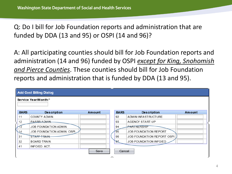Q: Do I bill for Job Foundation reports and administration that are funded by DDA (13 and 95) or OSPI (14 and 96)?

A: All participating counties should bill for Job Foundation reports and administration (14 and 96) funded by OSPI *except for King, Snohomish and Pierce Counties*. These counties should bill for Job Foundation reports and administration that is funded by DDA (13 and 95).

|               | <b>Add Cost Billing Dialog</b> |        |             |                            |        |
|---------------|--------------------------------|--------|-------------|----------------------------|--------|
|               | Service Year/Month:*           |        |             |                            |        |
| <b>BARS</b>   | <b>Description</b>             | Amount | <b>BARS</b> | <b>Description</b>         | Amount |
| 11            | COUNTY ADMIN.                  |        | 92          | ADM IN INFAST RUCTURE      |        |
| 12            | PASRR ADMIN                    |        | 93          | <b>AGENCY START-UP</b>     |        |
|               | <b>JOB FOUNDATION ADMIN.</b>   |        | 94          | PARTNERSHIP                |        |
| $\mathbf{14}$ | JOB FOUNDATION ADMIN. OSPI     |        | 95          | JOB FOUNDATION REPORT      |        |
| 31            | STAFF TRAIN.                   |        | 96          | JOB FOUNDATION REPORT OSPI |        |
| 32            | <b>BOARD TRAIN.</b>            |        | ЭZ          | JOB FOUNDATION INFO/ED     |        |
| 41            | INFO/ED. ACT.                  |        |             |                            |        |
|               |                                | Save   | Cancel      |                            |        |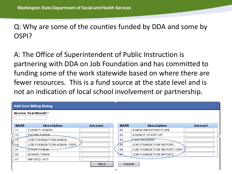Q: Why are some of the counties funded by DDA and some by OSPI?

A: The Office of Superintendent of Public Instruction is partnering with DDA on Job Foundation and has committed to funding some of the work statewide based on where there are fewer resources. This is a fund source at the state level and is not an indication of local school involvement or partnership.

|             | <b>Add Cost Billing Dialog</b> |        |             |                            |        |  |
|-------------|--------------------------------|--------|-------------|----------------------------|--------|--|
|             | Service Year/Month:*           |        |             |                            |        |  |
| <b>BARS</b> | <b>Description</b>             | Amount | <b>BARS</b> | <b>Description</b>         | Amount |  |
| 11          | COUNTY ADMIN.                  |        | 92          | ADM IN INFAST RUCTURE      |        |  |
| 12          | PASRR ADMIN                    |        | 93          | AGENCY START-UP            |        |  |
|             | JOB FOUNDATION ADMIN.          |        | 94          | PARTNERSHIP                |        |  |
| 14          | JOB FOUNDATION ADMIN. OSPI     |        | 95          | JOB FOUNDATION REPORT      |        |  |
| 31          | STAFF TRAIN.                   |        | 96          | JOB FOUNDATION REPORT OSPI |        |  |
| 32          | <b>BOARD TRAIN.</b>            |        | ЭZ          | JOB FOUNDATION INFO/ED     |        |  |
| 41          | INFO/ED. ACT.                  |        |             |                            |        |  |
|             |                                | Save   | Cancel      |                            |        |  |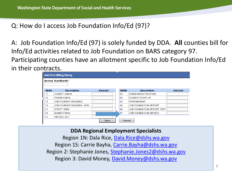Q: How do I access Job Foundation Info/Ed (97)?

A: Job Foundation Info/Ed (97) is solely funded by DDA. **All** counties bill for Info/Ed activities related to Job Foundation on BARS category 97. Participating counties have an allotment specific to Job Foundation Info/Ed in their contracts.

|             | <b>Add Cost Billing Dialog</b><br>Service Year/Month:* |        |             |                              |        |
|-------------|--------------------------------------------------------|--------|-------------|------------------------------|--------|
| <b>BARS</b> | <b>Description</b>                                     | Amount | <b>BARS</b> | <b>Description</b>           | Amount |
| 11          | COUNTY ADMIN.                                          |        | 92          | ADMIN INFAST RUCTURE         |        |
| 12          | PASRR ADMIN.                                           |        | 93          | <b>AGENCY START-UP</b>       |        |
| 13          | <b>JOB FOUNDATION ADMIN.</b>                           |        | 94          | <b>PARTNERSHIP</b>           |        |
| 14          | JOB FOUNDATION ADMIN. OSPI                             |        | 95          | <b>JOB FOUNDATION REPORT</b> |        |
| 31          | STAFF TRAIN.                                           |        | 96          | JOB FOUNDATION REPORT OSPI   |        |
| 32          | <b>BOARD TRAIN.</b>                                    |        | 97          | JOB FOUNDATION INFO/ED       |        |
| 41          | INFO/ED. ACT.                                          |        |             |                              |        |
|             |                                                        | Save   | Cancel      |                              |        |

**DDA Regional Employment Specialists** Region 1N: Dala Rice, [Dala.Rice@dshs.wa.gov](mailto:Dala.Rice@dshs.wa.gov) Region 1S: Carrie Bayha, [Carrie.Bayha@dshs.wa.gov](mailto:Carrie.Bayha@dshs.wa.gov) Region 2: Stephanie Jones, [Stephanie.Jones2@dshs.wa.gov](mailto:Stephanie.Jones2@dshs.wa.gov) Region 3: David Money, [David.Money@dshs.wa.gov](mailto:David.Money@dshs.wa.gov)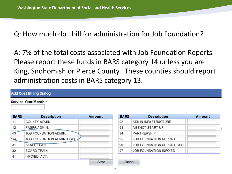Q: How much do I bill for administration for Job Foundation?

A: 7% of the total costs associated with Job Foundation Reports. Please report these funds in BARS category 14 unless you are King, Snohomish or Pierce County. These counties should report administration costs in BARS category 13.

#### **Add Cost Billing Dialog**

#### Service Year/Month:\*

| <b>BARS</b> | <b>Description</b>         | Amount |
|-------------|----------------------------|--------|
| 11          | COUNTY ADMIN.              |        |
| 12          | PASRR ADMIN.               |        |
|             | JOB FOUNDATION ADMIN.      |        |
|             | JOB FOUNDATION ADMIN. OSPL |        |
| 31          | STAFF TRAIN.               |        |
| 32          | BOARD TRAIN.               |        |
| 41          | INFO/ED. ACT.              |        |
|             |                            | Save   |

| <b>BARS</b> | <b>Description</b>           | Amount |
|-------------|------------------------------|--------|
| 92          | ADM IN INFAST RUCTURE        |        |
| 93          | AGENCY START-UP              |        |
| 94          | <b>PARTNERSHIP</b>           |        |
| 95          | <b>JOB FOUNDATION REPORT</b> |        |
| 96          | JOB FOUNDATION REPORT OSPI   |        |
| 97          | JOB FOUNDATION INFO/ED       |        |

Cancel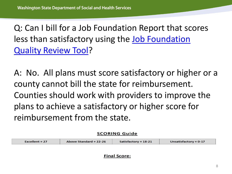Q: Can I bill for a Job Foundation Report that scores [less than satisfactory using the Job Foundation](https://www.dshs.wa.gov/sites/default/files/DDA/dda/documents/DDA%20Job%20Foundations%20Quality%20Review%20Tool.pdf) Quality Review Tool?

A: No. All plans must score satisfactory or higher or a county cannot bill the state for reimbursement. Counties should work with providers to improve the plans to achieve a satisfactory or higher score for reimbursement from the state.

**SCORING Guide** 

| Excellent = $27/$ | Above Standard = $22-26$ | Satisfactory = $18-21$ | Unsatisfactory = $0-17$ |
|-------------------|--------------------------|------------------------|-------------------------|
|                   |                          |                        |                         |

**Final Score:**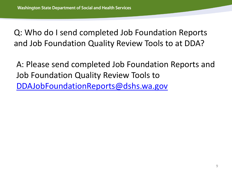Q: Who do I send completed Job Foundation Reports and Job Foundation Quality Review Tools to at DDA?

A: Please send completed Job Foundation Reports and Job Foundation Quality Review Tools to [DDAJobFoundationReports@dshs.wa.gov](mailto:DDAJobFoundationReports@dshs.wa.gov)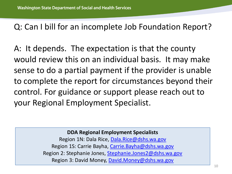# Q: Can I bill for an incomplete Job Foundation Report?

A: It depends. The expectation is that the county would review this on an individual basis. It may make sense to do a partial payment if the provider is unable to complete the report for circumstances beyond their control. For guidance or support please reach out to your Regional Employment Specialist.

#### **DDA Regional Employment Specialists**

Region 1N: Dala Rice, [Dala.Rice@dshs.wa.gov](mailto:Dala.Rice@dshs.wa.gov) Region 1S: Carrie Bayha, [Carrie.Bayha@dshs.wa.gov](mailto:Carrie.Bayha@dshs.wa.gov) Region 2: Stephanie Jones, [Stephanie.Jones2@dshs.wa.gov](mailto:Stephanie.Jones2@dshs.wa.gov) Region 3: David Money, [David.Money@dshs.wa.gov](mailto:David.Money@dshs.wa.gov)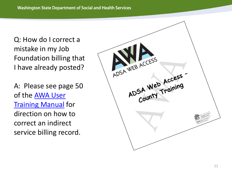Q: How do I correct a mistake in my Job Foundation billing that I have already posted?

A: Please see page 50 of the AWA User [Training Manual](https://www.dshs.wa.gov/sites/default/files/DDA/dda/documents/County%20-%20AWA%20Training%20Manual.pdf) for direction on how to correct an indirect service billing record.

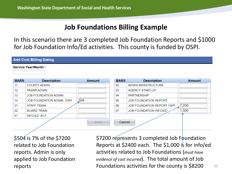## **Job Foundations Billing Example**

In this scenario there are 3 completed Job Foundation Reports and \$1000 for Job Foundation Info/Ed activities. This county is funded by OSPI.

#### **Add Cost Billing Dialog**

Service Year/Month:\*

| <b>BARS</b> | <b>Description</b>         | <b>Amount</b> | <b>BARS</b> | <b>Description</b>           | <b>Amount</b> |
|-------------|----------------------------|---------------|-------------|------------------------------|---------------|
| 11          | COUNTY ADMIN.              |               | 92          | ADMIN INFASTRUCTURE          |               |
| 12          | PASRR ADMIN.               |               | 93          | <b>AGENCY START-UP</b>       |               |
| 13          | JOB FOUNDATION ADMIN.      |               | 94          | <b>PARTNERSHIP</b>           |               |
| 14          | JOB FOUNDATION ADMIN. OSPI | 504           | 95          | <b>JOB FOUNDATION REPORT</b> |               |
| 31          | STAFF TRAIN.               |               | 96          | JOB FOUNDATION REPORT OSPI   | 7.200         |
| 32          | <b>BOARD TRAIN.</b>        |               | 97          | JOB FOUNDATION INFO/ED       | 1,000         |
| 41          | INFO/ED, ACT.              |               |             |                              |               |
|             |                            | Save          | Cancel      |                              |               |

\$504 is 7% of the \$7200 related to Job Foundation reports. Admin is only applied to Job Foundation reports

\$7200 represents 3 completed Job Foundation Reports at \$2400 each. The \$1,000 is for info/ed activities related to Job Foundations (*must have evidence of cost incurred*). The total amount of Job Foundations activities for the county is \$8200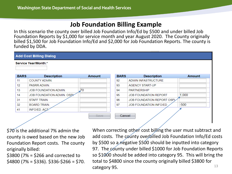### **Job Foundation Billing Example**

In this scenario the county over billed Job Foundation Info/Ed by \$500 and under billed Job Foundation Reports by \$1,000 for service month and year August 2020. The County originally billed \$1,500 for Job Foundation Info/Ed and \$2,000 for Job Foundation Reports. The county is funded by DDA.

|                | <b>Add Cost Billing Dialog</b> |               |             |                              |               |
|----------------|--------------------------------|---------------|-------------|------------------------------|---------------|
|                | Service Year/Month:*           |               |             |                              |               |
| <b>BARS</b>    | <b>Description</b>             | <b>Amount</b> | <b>BARS</b> | <b>Description</b>           | <b>Amount</b> |
| 11             | COUNTY ADMIN.                  |               | 92          | ADMIN INFASTRUCTURE          |               |
| 12             | PASRR ADMIN.                   |               | 93          | <b>AGENCY START-UP</b>       |               |
| 13             | <b>JOB FOUNDATION ADMIN.</b>   | -70           | 94          | <b>PARTNERSHIP</b>           |               |
| 14             | JOB FOUNDATION ADMIN. OSP/     |               | 95          | <b>JOB FOUNDATION REPORT</b> | 1,000         |
| 31             | STAFF TRAIN.                   |               | 96          | JOB FOUNDATION REPORT OSPL   |               |
| 32             | <b>BOARD TRAIN.</b>            |               | 97          | JOB FOUNDATION INFO/ED       | $-500$        |
| 41             | <b>INFO/ED. ACT:</b>           |               |             |                              |               |
| Cancel<br>Save |                                |               |             |                              |               |

\$70 is the additional 7% admin the county is owed based on the new Job Foundation Report costs. The county originally billed:

\$3800 (7% = \$266 and corrected to  $$4800 (7\% = $336)$ . \$336-\$266 = \$70.

13 When correcting other cost billing the user must subtract and add costs. The county overbilled Job Foundation Info/Ed costs by \$500 so a negative \$500 should be inputted into category 97. The county under billed \$1000 for Job Foundation Reports so \$1000 should be added into category 95. This will bring the total to \$4800 since the county originally billed \$3800 for category 95.